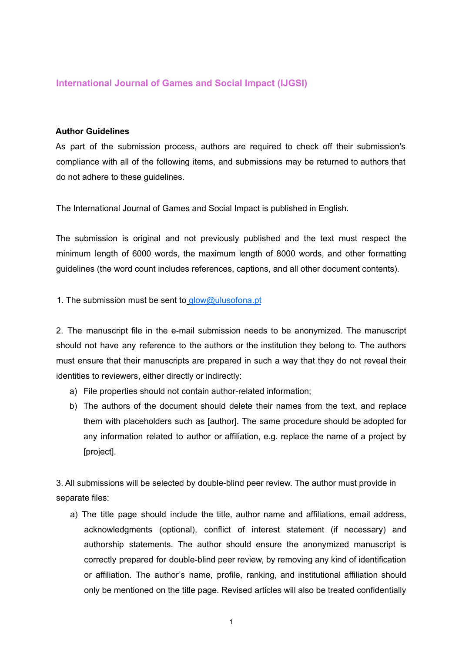# **International Journal of Games and Social Impact (IJGSI)**

### **Author Guidelines**

As part of the submission process, authors are required to check off their submission's compliance with all of the following items, and submissions may be returned to authors that do not adhere to these guidelines.

The International Journal of Games and Social Impact is published in English.

The submission is original and not previously published and the text must respect the minimum length of 6000 words, the maximum length of 8000 words, and other formatting guidelines (the word count includes references, captions, and all other document contents).

1. The submission must be sent to glow@ulusofona.pt

2. The manuscript file in the e-mail submission needs to be anonymized. The manuscript should not have any reference to the authors or the institution they belong to. The authors must ensure that their manuscripts are prepared in such a way that they do not reveal their identities to reviewers, either directly or indirectly:

- a) File properties should not contain author-related information;
- b) The authors of the document should delete their names from the text, and replace them with placeholders such as [author]. The same procedure should be adopted for any information related to author or affiliation, e.g. replace the name of a project by [project].

3. All submissions will be selected by double-blind peer review. The author must provide in separate files:

a) The title page should include the title, author name and affiliations, email address, acknowledgments (optional), conflict of interest statement (if necessary) and authorship statements. The author should ensure the anonymized manuscript is correctly prepared for double-blind peer review, by removing any kind of identification or affiliation. The author's name, profile, ranking, and institutional affiliation should only be mentioned on the title page. Revised articles will also be treated confidentially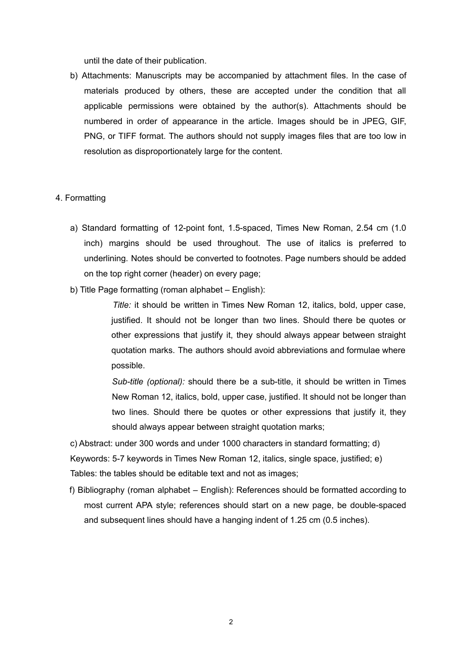until the date of their publication.

b) Attachments: Manuscripts may be accompanied by attachment files. In the case of materials produced by others, these are accepted under the condition that all applicable permissions were obtained by the author(s). Attachments should be numbered in order of appearance in the article. Images should be in JPEG, GIF, PNG, or TIFF format. The authors should not supply images files that are too low in resolution as disproportionately large for the content.

#### 4. Formatting

- a) Standard formatting of 12-point font, 1.5-spaced, Times New Roman, 2.54 cm (1.0 inch) margins should be used throughout. The use of italics is preferred to underlining. Notes should be converted to footnotes. Page numbers should be added on the top right corner (header) on every page;
- b) Title Page formatting (roman alphabet English):

*Title:* it should be written in Times New Roman 12, italics, bold, upper case, justified. It should not be longer than two lines. Should there be quotes or other expressions that justify it, they should always appear between straight quotation marks. The authors should avoid abbreviations and formulae where possible.

*Sub-title (optional):* should there be a sub-title, it should be written in Times New Roman 12, italics, bold, upper case, justified. It should not be longer than two lines. Should there be quotes or other expressions that justify it, they should always appear between straight quotation marks;

c) Abstract: under 300 words and under 1000 characters in standard formatting; d) Keywords: 5-7 keywords in Times New Roman 12, italics, single space, justified; e) Tables: the tables should be editable text and not as images;

f) Bibliography (roman alphabet – English): References should be formatted according to most current APA style; references should start on a new page, be double-spaced and subsequent lines should have a hanging indent of 1.25 cm (0.5 inches).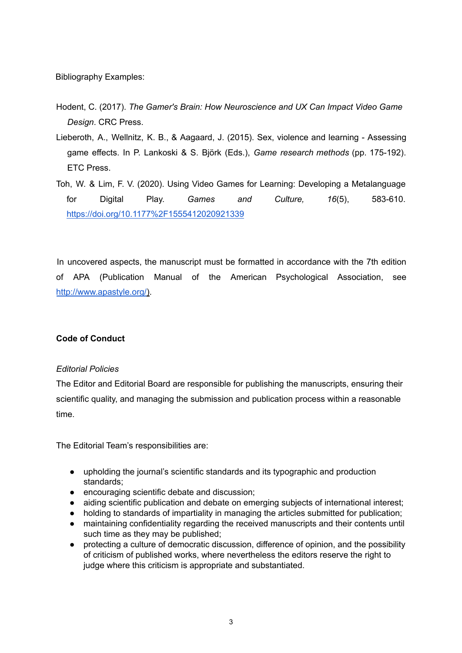Bibliography Examples:

- Hodent, C. (2017). *The Gamer's Brain: How Neuroscience and UX Can Impact Video Game Design*. CRC Press.
- Lieberoth, A., Wellnitz, K. B., & Aagaard, J. (2015). Sex, violence and learning Assessing game effects. In P. Lankoski & S. Björk (Eds.), *Game research methods* (pp. 175-192). ETC Press.
- Toh, W. & Lim, F. V. (2020). Using Video Games for Learning: Developing a Metalanguage for Digital Play. *Games and Culture, 16*(5), 583-610. https://doi.org/10.1177%2F1555412020921339

In uncovered aspects, the manuscript must be formatted in accordance with the 7th edition of APA (Publication Manual of the American Psychological Association, see http://www.apastyle.org/).

# **Code of Conduct**

# *Editorial Policies*

The Editor and Editorial Board are responsible for publishing the manuscripts, ensuring their scientific quality, and managing the submission and publication process within a reasonable time.

The Editorial Team's responsibilities are:

- upholding the journal's scientific standards and its typographic and production standards;
- encouraging scientific debate and discussion;
- aiding scientific publication and debate on emerging subjects of international interest;
- holding to standards of impartiality in managing the articles submitted for publication;
- maintaining confidentiality regarding the received manuscripts and their contents until such time as they may be published;
- protecting a culture of democratic discussion, difference of opinion, and the possibility of criticism of published works, where nevertheless the editors reserve the right to judge where this criticism is appropriate and substantiated.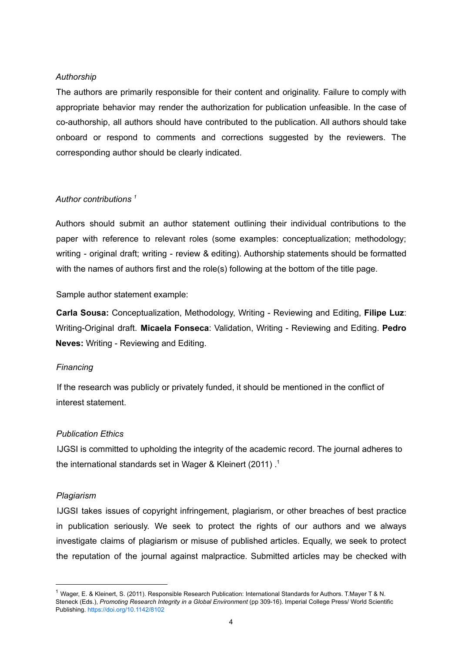### *Authorship*

The authors are primarily responsible for their content and originality. Failure to comply with appropriate behavior may render the authorization for publication unfeasible. In the case of co-authorship, all authors should have contributed to the publication. All authors should take onboard or respond to comments and corrections suggested by the reviewers. The corresponding author should be clearly indicated.

### *Author contributions 1*

Authors should submit an author statement outlining their individual contributions to the paper with reference to relevant roles (some examples: conceptualization; methodology; writing - original draft; writing - review & editing). Authorship statements should be formatted with the names of authors first and the role(s) following at the bottom of the title page.

Sample author statement example:

**Carla Sousa:** Conceptualization, Methodology, Writing - Reviewing and Editing, **Filipe Luz**: Writing-Original draft. **Micaela Fonseca**: Validation, Writing - Reviewing and Editing. **Pedro Neves:** Writing - Reviewing and Editing.

# *Financing*

If the research was publicly or privately funded, it should be mentioned in the conflict of interest statement.

#### *Publication Ethics*

IJGSI is committed to upholding the integrity of the academic record. The journal adheres to the international standards set in Wager & Kleinert (2011) . 1

#### *Plagiarism*

IJGSI takes issues of copyright infringement, plagiarism, or other breaches of best practice in publication seriously. We seek to protect the rights of our authors and we always investigate claims of plagiarism or misuse of published articles. Equally, we seek to protect the reputation of the journal against malpractice. Submitted articles may be checked with

<sup>&</sup>lt;sup>1</sup> Wager, E. & Kleinert, S. (2011). Responsible Research Publication: International Standards for Authors. T.Mayer T & N. Steneck (Eds.), *Promoting Research Integrity in a Global Environment* (pp 309-16). Imperial College Press/ World Scientific Publishing. https://doi.org/10.1142/8102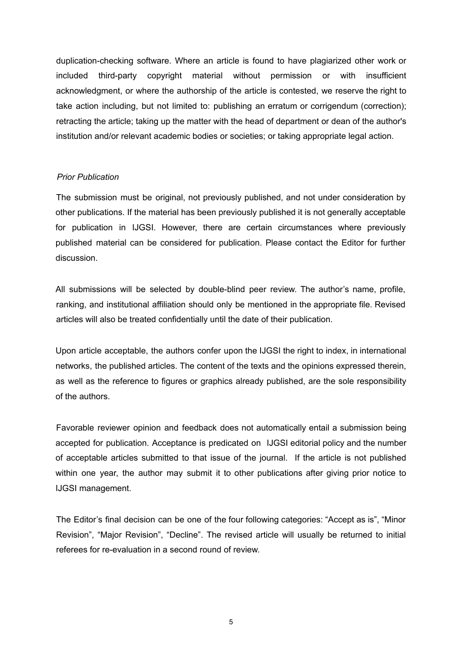duplication-checking software. Where an article is found to have plagiarized other work or included third-party copyright material without permission or with insufficient acknowledgment, or where the authorship of the article is contested, we reserve the right to take action including, but not limited to: publishing an erratum or corrigendum (correction); retracting the article; taking up the matter with the head of department or dean of the author's institution and/or relevant academic bodies or societies; or taking appropriate legal action.

#### *Prior Publication*

The submission must be original, not previously published, and not under consideration by other publications. If the material has been previously published it is not generally acceptable for publication in IJGSI. However, there are certain circumstances where previously published material can be considered for publication. Please contact the Editor for further discussion.

All submissions will be selected by double-blind peer review. The author's name, profile, ranking, and institutional affiliation should only be mentioned in the appropriate file. Revised articles will also be treated confidentially until the date of their publication.

Upon article acceptable, the authors confer upon the IJGSI the right to index, in international networks, the published articles. The content of the texts and the opinions expressed therein, as well as the reference to figures or graphics already published, are the sole responsibility of the authors.

Favorable reviewer opinion and feedback does not automatically entail a submission being accepted for publication. Acceptance is predicated on IJGSI editorial policy and the number of acceptable articles submitted to that issue of the journal. If the article is not published within one year, the author may submit it to other publications after giving prior notice to IJGSI management.

The Editor's final decision can be one of the four following categories: "Accept as is", "Minor Revision", "Major Revision", "Decline". The revised article will usually be returned to initial referees for re-evaluation in a second round of review.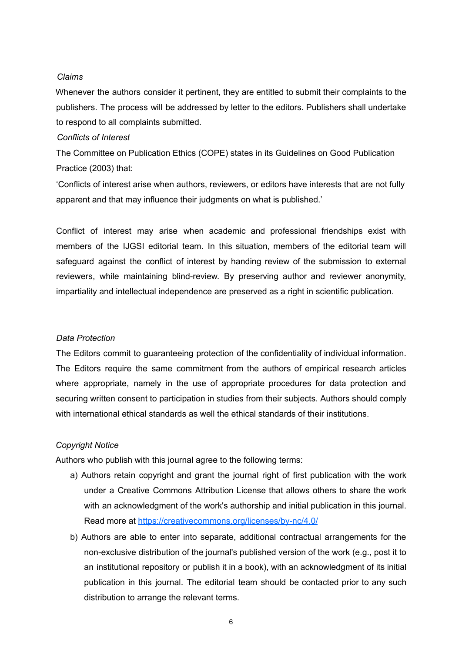### *Claims*

Whenever the authors consider it pertinent, they are entitled to submit their complaints to the publishers. The process will be addressed by letter to the editors. Publishers shall undertake to respond to all complaints submitted.

#### *Conflicts of Interest*

The Committee on Publication Ethics (COPE) states in its Guidelines on Good Publication Practice (2003) that:

'Conflicts of interest arise when authors, reviewers, or editors have interests that are not fully apparent and that may influence their judgments on what is published.'

Conflict of interest may arise when academic and professional friendships exist with members of the IJGSI editorial team. In this situation, members of the editorial team will safeguard against the conflict of interest by handing review of the submission to external reviewers, while maintaining blind-review. By preserving author and reviewer anonymity, impartiality and intellectual independence are preserved as a right in scientific publication.

#### *Data Protection*

The Editors commit to guaranteeing protection of the confidentiality of individual information. The Editors require the same commitment from the authors of empirical research articles where appropriate, namely in the use of appropriate procedures for data protection and securing written consent to participation in studies from their subjects. Authors should comply with international ethical standards as well the ethical standards of their institutions.

# *Copyright Notice*

Authors who publish with this journal agree to the following terms:

- a) Authors retain copyright and grant the journal right of first publication with the work under a Creative Commons Attribution License that allows others to share the work with an acknowledgment of the work's authorship and initial publication in this journal. Read more at https://creativecommons.org/licenses/by-nc/4.0/
- b) Authors are able to enter into separate, additional contractual arrangements for the non-exclusive distribution of the journal's published version of the work (e.g., post it to an institutional repository or publish it in a book), with an acknowledgment of its initial publication in this journal. The editorial team should be contacted prior to any such distribution to arrange the relevant terms.